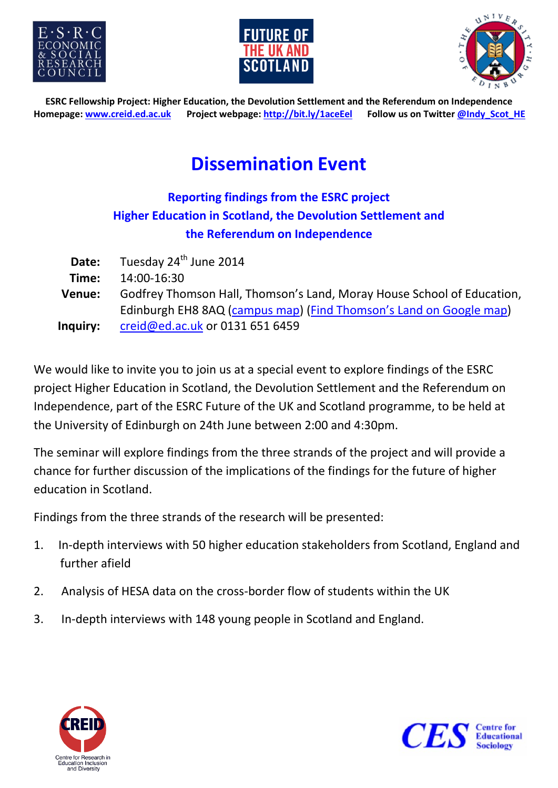





**ESRC Fellowship Project: Higher Education, the Devolution Settlement and the Referendum on Independence Homepage: www.creid.ed.ac.uk Project webpage: http://bit.ly/1aceEel Follow us on Twitter @Indy\_Scot\_HE**

# **Dissemination Event**

#### **Reporting findings from the ESRC project Higher Education in Scotland, the Devolution Settlement and the Referendum on Independence**

| Date:    | Tuesday 24 <sup>th</sup> June 2014                                     |
|----------|------------------------------------------------------------------------|
| Time:    | 14:00-16:30                                                            |
| Venue:   | Godfrey Thomson Hall, Thomson's Land, Moray House School of Education, |
|          | Edinburgh EH8 8AQ (campus map) (Find Thomson's Land on Google map)     |
| Inquiry: | creid@ed.ac.uk or 0131 651 6459                                        |

We would like to invite you to join us at a special event to explore findings of the ESRC project Higher Education in Scotland, the Devolution Settlement and the Referendum on Independence, part of the ESRC Future of the UK and Scotland programme, to be held at the University of Edinburgh on 24th June between 2:00 and 4:30pm.

The seminar will explore findings from the three strands of the project and will provide a chance for further discussion of the implications of the findings for the future of higher education in Scotland.

Findings from the three strands of the research will be presented:

- 1. In-depth interviews with 50 higher education stakeholders from Scotland, England and further afield
- 2. Analysis of HESA data on the cross-border flow of students within the UK
- 3. In-depth interviews with 148 young people in Scotland and England.